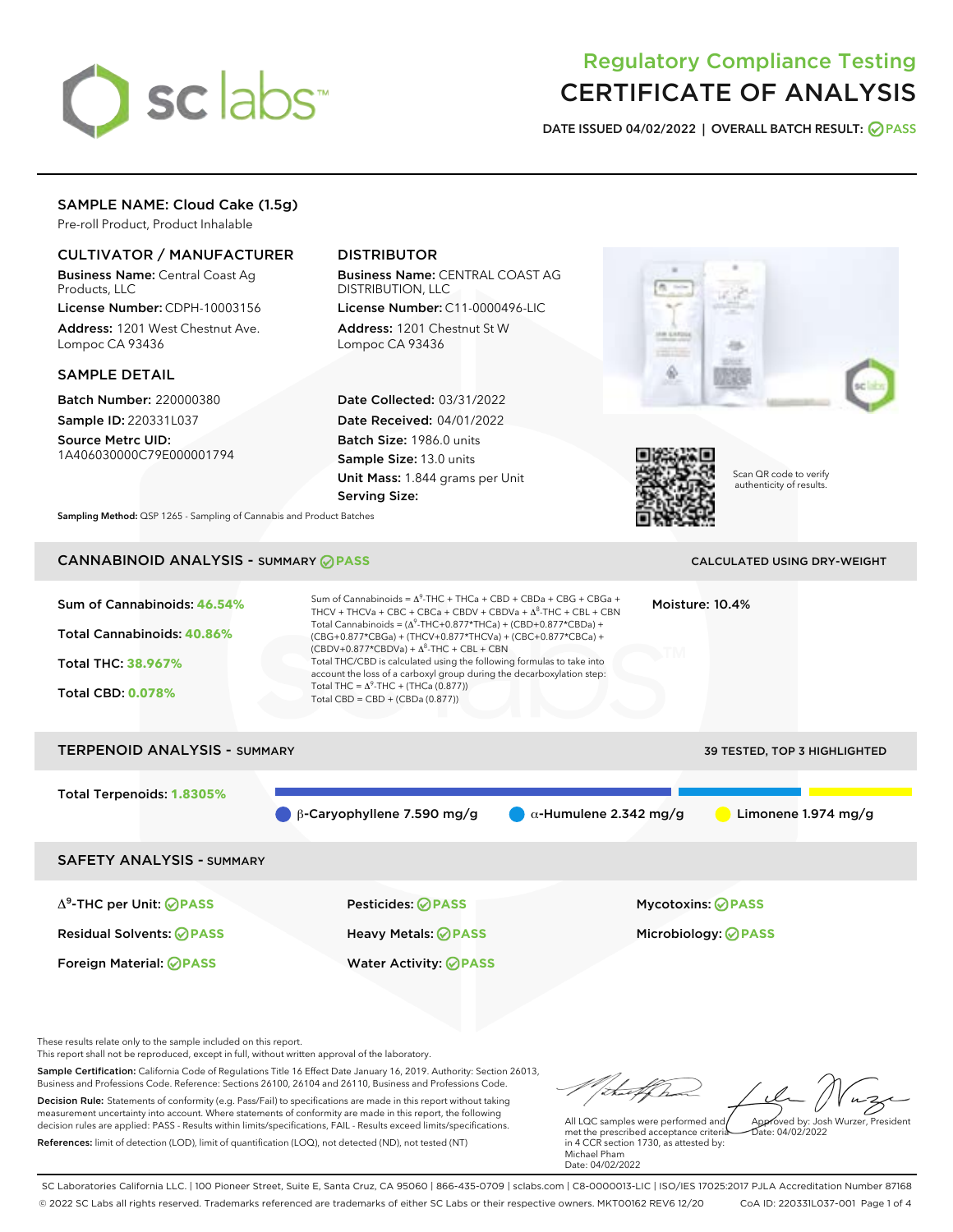

## Regulatory Compliance Testing CERTIFICATE OF ANALYSIS

DATE ISSUED 04/02/2022 | OVERALL BATCH RESULT: @ PASS

## SAMPLE NAME: Cloud Cake (1.5g)

Pre-roll Product, Product Inhalable

## CULTIVATOR / MANUFACTURER

Business Name: Central Coast Ag Products, LLC

License Number: CDPH-10003156 Address: 1201 West Chestnut Ave. Lompoc CA 93436

#### SAMPLE DETAIL

Batch Number: 220000380 Sample ID: 220331L037

Source Metrc UID: 1A406030000C79E000001794

## DISTRIBUTOR

Business Name: CENTRAL COAST AG DISTRIBUTION, LLC

License Number: C11-0000496-LIC Address: 1201 Chestnut St W Lompoc CA 93436

Date Collected: 03/31/2022 Date Received: 04/01/2022 Batch Size: 1986.0 units Sample Size: 13.0 units Unit Mass: 1.844 grams per Unit Serving Size:





Scan QR code to verify authenticity of results.

Sampling Method: QSP 1265 - Sampling of Cannabis and Product Batches

## CANNABINOID ANALYSIS - SUMMARY **PASS** CALCULATED USING DRY-WEIGHT

Sum of Cannabinoids: **46.54%** Total Cannabinoids: **40.86%** Total THC: **38.967%** Total CBD: **0.078%** Sum of Cannabinoids =  $\Delta^9$ -THC + THCa + CBD + CBDa + CBG + CBGa + THCV + THCVa + CBC + CBCa + CBDV + CBDVa +  $\Delta^8$ -THC + CBL + CBN Total Cannabinoids = ( $\Delta^9$ -THC+0.877\*THCa) + (CBD+0.877\*CBDa) + (CBG+0.877\*CBGa) + (THCV+0.877\*THCVa) + (CBC+0.877\*CBCa) +  $(CBDV+0.877*CBDVa) + \Delta^8$ -THC + CBL + CBN Total THC/CBD is calculated using the following formulas to take into account the loss of a carboxyl group during the decarboxylation step: Total THC =  $\Delta^9$ -THC + (THCa (0.877)) Total CBD = CBD + (CBDa (0.877)) Moisture: 10.4%

# TERPENOID ANALYSIS - SUMMARY 39 TESTED, TOP 3 HIGHLIGHTED Total Terpenoids: **1.8305%** β-Caryophyllene 7.590 mg/g α-Humulene 2.342 mg/g Limonene 1.974 mg/g SAFETY ANALYSIS - SUMMARY Δ9-THC per Unit: **PASS** Pesticides: **PASS** Mycotoxins: **PASS**

Residual Solvents: **PASS** Heavy Metals: **PASS** Microbiology: **PASS**

Foreign Material: **PASS** Water Activity: **PASS**

These results relate only to the sample included on this report.

This report shall not be reproduced, except in full, without written approval of the laboratory.

Sample Certification: California Code of Regulations Title 16 Effect Date January 16, 2019. Authority: Section 26013, Business and Professions Code. Reference: Sections 26100, 26104 and 26110, Business and Professions Code. Decision Rule: Statements of conformity (e.g. Pass/Fail) to specifications are made in this report without taking measurement uncertainty into account. Where statements of conformity are made in this report, the following decision rules are applied: PASS - Results within limits/specifications, FAIL - Results exceed limits/specifications.

References: limit of detection (LOD), limit of quantification (LOQ), not detected (ND), not tested (NT)

Approved by: Josh Wurzer, President

 $hat: 04/02/2022$ 

All LQC samples were performed and met the prescribed acceptance criteria in 4 CCR section 1730, as attested by: Michael Pham Date: 04/02/2022

SC Laboratories California LLC. | 100 Pioneer Street, Suite E, Santa Cruz, CA 95060 | 866-435-0709 | sclabs.com | C8-0000013-LIC | ISO/IES 17025:2017 PJLA Accreditation Number 87168 © 2022 SC Labs all rights reserved. Trademarks referenced are trademarks of either SC Labs or their respective owners. MKT00162 REV6 12/20 CoA ID: 220331L037-001 Page 1 of 4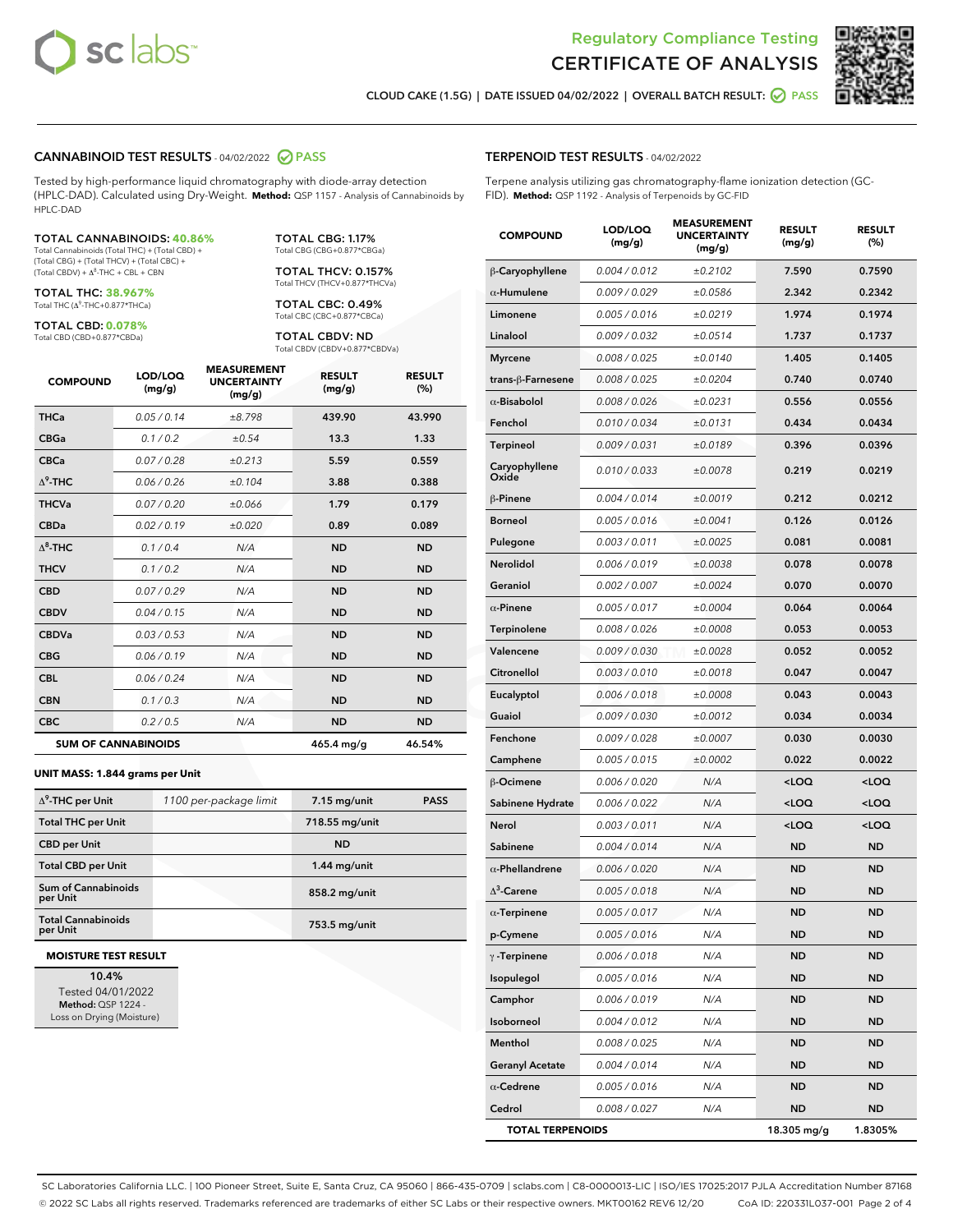



CLOUD CAKE (1.5G) | DATE ISSUED 04/02/2022 | OVERALL BATCH RESULT: **○** PASS

#### CANNABINOID TEST RESULTS - 04/02/2022 PASS

Tested by high-performance liquid chromatography with diode-array detection (HPLC-DAD). Calculated using Dry-Weight. **Method:** QSP 1157 - Analysis of Cannabinoids by HPLC-DAD

#### TOTAL CANNABINOIDS: **40.86%**

Total Cannabinoids (Total THC) + (Total CBD) + (Total CBG) + (Total THCV) + (Total CBC) +  $(Total CBDV) +  $\Delta^8$ -THC + CBL + CBN$ 

TOTAL THC: **38.967%** Total THC (Δ<sup>9</sup> -THC+0.877\*THCa)

TOTAL CBD: **0.078%** Total CBD (CBD+0.877\*CBDa)

TOTAL CBG: 1.17% Total CBG (CBG+0.877\*CBGa)

TOTAL THCV: 0.157% Total THCV (THCV+0.877\*THCVa)

TOTAL CBC: 0.49% Total CBC (CBC+0.877\*CBCa)

TOTAL CBDV: ND Total CBDV (CBDV+0.877\*CBDVa)

| <b>COMPOUND</b>  | LOD/LOQ<br>(mg/g)          | <b>MEASUREMENT</b><br><b>UNCERTAINTY</b><br>(mg/g) | <b>RESULT</b><br>(mg/g) | <b>RESULT</b><br>(%) |
|------------------|----------------------------|----------------------------------------------------|-------------------------|----------------------|
| <b>THCa</b>      | 0.05 / 0.14                | ±8.798                                             | 439.90                  | 43.990               |
| <b>CBGa</b>      | 0.1 / 0.2                  | ±0.54                                              | 13.3                    | 1.33                 |
| <b>CBCa</b>      | 0.07/0.28                  | ±0.213                                             | 5.59                    | 0.559                |
| $\Delta^9$ -THC  | 0.06 / 0.26                | ±0.104                                             | 3.88                    | 0.388                |
| <b>THCVa</b>     | 0.07/0.20                  | ±0.066                                             | 1.79                    | 0.179                |
| <b>CBDa</b>      | 0.02/0.19                  | ±0.020                                             | 0.89                    | 0.089                |
| $\Lambda^8$ -THC | 0.1 / 0.4                  | N/A                                                | <b>ND</b>               | <b>ND</b>            |
| <b>THCV</b>      | 0.1/0.2                    | N/A                                                | <b>ND</b>               | <b>ND</b>            |
| <b>CBD</b>       | 0.07/0.29                  | N/A                                                | <b>ND</b>               | <b>ND</b>            |
| <b>CBDV</b>      | 0.04 / 0.15                | N/A                                                | <b>ND</b>               | <b>ND</b>            |
| <b>CBDVa</b>     | 0.03 / 0.53                | N/A                                                | <b>ND</b>               | <b>ND</b>            |
| <b>CBG</b>       | 0.06/0.19                  | N/A                                                | <b>ND</b>               | <b>ND</b>            |
| <b>CBL</b>       | 0.06 / 0.24                | N/A                                                | <b>ND</b>               | <b>ND</b>            |
| <b>CBN</b>       | 0.1/0.3                    | N/A                                                | <b>ND</b>               | <b>ND</b>            |
| <b>CBC</b>       | 0.2 / 0.5                  | N/A                                                | <b>ND</b>               | <b>ND</b>            |
|                  | <b>SUM OF CANNABINOIDS</b> |                                                    | 465.4 mg/g              | 46.54%               |

#### **UNIT MASS: 1.844 grams per Unit**

| $\Delta^9$ -THC per Unit               | 1100 per-package limit | $7.15$ mg/unit | <b>PASS</b> |
|----------------------------------------|------------------------|----------------|-------------|
| <b>Total THC per Unit</b>              |                        | 718.55 mg/unit |             |
| <b>CBD per Unit</b>                    |                        | <b>ND</b>      |             |
| <b>Total CBD per Unit</b>              |                        | $1.44$ mg/unit |             |
| <b>Sum of Cannabinoids</b><br>per Unit |                        | 858.2 mg/unit  |             |
| <b>Total Cannabinoids</b><br>per Unit  |                        | 753.5 mg/unit  |             |

#### **MOISTURE TEST RESULT**

10.4% Tested 04/01/2022 Method: QSP 1224 - Loss on Drying (Moisture)

#### TERPENOID TEST RESULTS - 04/02/2022

Terpene analysis utilizing gas chromatography-flame ionization detection (GC-FID). **Method:** QSP 1192 - Analysis of Terpenoids by GC-FID

| <b>COMPOUND</b>         | LOD/LOQ<br>(mg/g) | <b>MEASUREMENT</b><br><b>UNCERTAINTY</b><br>(mg/g) | <b>RESULT</b><br>(mg/g)                         | <b>RESULT</b><br>(%) |
|-------------------------|-------------------|----------------------------------------------------|-------------------------------------------------|----------------------|
| β-Caryophyllene         | 0.004 / 0.012     | ±0.2102                                            | 7.590                                           | 0.7590               |
| $\alpha$ -Humulene      | 0.009 / 0.029     | ±0.0586                                            | 2.342                                           | 0.2342               |
| Limonene                | 0.005 / 0.016     | ±0.0219                                            | 1.974                                           | 0.1974               |
| Linalool                | 0.009 / 0.032     | ±0.0514                                            | 1.737                                           | 0.1737               |
| <b>Myrcene</b>          | 0.008 / 0.025     | ±0.0140                                            | 1.405                                           | 0.1405               |
| trans-β-Farnesene       | 0.008 / 0.025     | ±0.0204                                            | 0.740                                           | 0.0740               |
| $\alpha$ -Bisabolol     | 0.008 / 0.026     | ±0.0231                                            | 0.556                                           | 0.0556               |
| Fenchol                 | 0.010 / 0.034     | ±0.0131                                            | 0.434                                           | 0.0434               |
| Terpineol               | 0.009 / 0.031     | ±0.0189                                            | 0.396                                           | 0.0396               |
| Caryophyllene<br>Oxide  | 0.010 / 0.033     | ±0.0078                                            | 0.219                                           | 0.0219               |
| β-Pinene                | 0.004 / 0.014     | ±0.0019                                            | 0.212                                           | 0.0212               |
| <b>Borneol</b>          | 0.005 / 0.016     | ±0.0041                                            | 0.126                                           | 0.0126               |
| Pulegone                | 0.003 / 0.011     | ±0.0025                                            | 0.081                                           | 0.0081               |
| Nerolidol               | 0.006 / 0.019     | ±0.0038                                            | 0.078                                           | 0.0078               |
| Geraniol                | 0.002 / 0.007     | ±0.0024                                            | 0.070                                           | 0.0070               |
| $\alpha$ -Pinene        | 0.005 / 0.017     | ±0.0004                                            | 0.064                                           | 0.0064               |
| Terpinolene             | 0.008 / 0.026     | ±0.0008                                            | 0.053                                           | 0.0053               |
| Valencene               | 0.009 / 0.030     | ±0.0028                                            | 0.052                                           | 0.0052               |
| Citronellol             | 0.003 / 0.010     | ±0.0018                                            | 0.047                                           | 0.0047               |
| Eucalyptol              | 0.006 / 0.018     | ±0.0008                                            | 0.043                                           | 0.0043               |
| Guaiol                  | 0.009 / 0.030     | ±0.0012                                            | 0.034                                           | 0.0034               |
| Fenchone                | 0.009 / 0.028     | ±0.0007                                            | 0.030                                           | 0.0030               |
| Camphene                | 0.005 / 0.015     | ±0.0002                                            | 0.022                                           | 0.0022               |
| β-Ocimene               | 0.006 / 0.020     | N/A                                                | <loq< th=""><th><loq< th=""></loq<></th></loq<> | <loq< th=""></loq<>  |
| Sabinene Hydrate        | 0.006 / 0.022     | N/A                                                | <loq< th=""><th><loq< th=""></loq<></th></loq<> | <loq< th=""></loq<>  |
| Nerol                   | 0.003 / 0.011     | N/A                                                | <loq< th=""><th><loq< th=""></loq<></th></loq<> | <loq< th=""></loq<>  |
| Sabinene                | 0.004 / 0.014     | N/A                                                | <b>ND</b>                                       | <b>ND</b>            |
| $\alpha$ -Phellandrene  | 0.006 / 0.020     | N/A                                                | <b>ND</b>                                       | <b>ND</b>            |
| $\Delta^3$ -Carene      | 0.005 / 0.018     | N/A                                                | <b>ND</b>                                       | ND                   |
| $\alpha$ -Terpinene     | 0.005 / 0.017     | N/A                                                | <b>ND</b>                                       | <b>ND</b>            |
| p-Cymene                | 0.005 / 0.016     | N/A                                                | ND                                              | ND                   |
| $\gamma$ -Terpinene     | 0.006 / 0.018     | N/A                                                | <b>ND</b>                                       | ND                   |
| Isopulegol              | 0.005 / 0.016     | N/A                                                | ND                                              | ND                   |
| Camphor                 | 0.006 / 0.019     | N/A                                                | ND                                              | <b>ND</b>            |
| Isoborneol              | 0.004 / 0.012     | N/A                                                | ND                                              | ND                   |
| Menthol                 | 0.008 / 0.025     | N/A                                                | <b>ND</b>                                       | ND                   |
| <b>Geranyl Acetate</b>  | 0.004 / 0.014     | N/A                                                | ND                                              | ND                   |
| $\alpha$ -Cedrene       | 0.005 / 0.016     | N/A                                                | ND                                              | ND                   |
| Cedrol                  | 0.008 / 0.027     | N/A                                                | <b>ND</b>                                       | <b>ND</b>            |
| <b>TOTAL TERPENOIDS</b> |                   |                                                    | 18.305 mg/g                                     | 1.8305%              |

SC Laboratories California LLC. | 100 Pioneer Street, Suite E, Santa Cruz, CA 95060 | 866-435-0709 | sclabs.com | C8-0000013-LIC | ISO/IES 17025:2017 PJLA Accreditation Number 87168 © 2022 SC Labs all rights reserved. Trademarks referenced are trademarks of either SC Labs or their respective owners. MKT00162 REV6 12/20 CoA ID: 220331L037-001 Page 2 of 4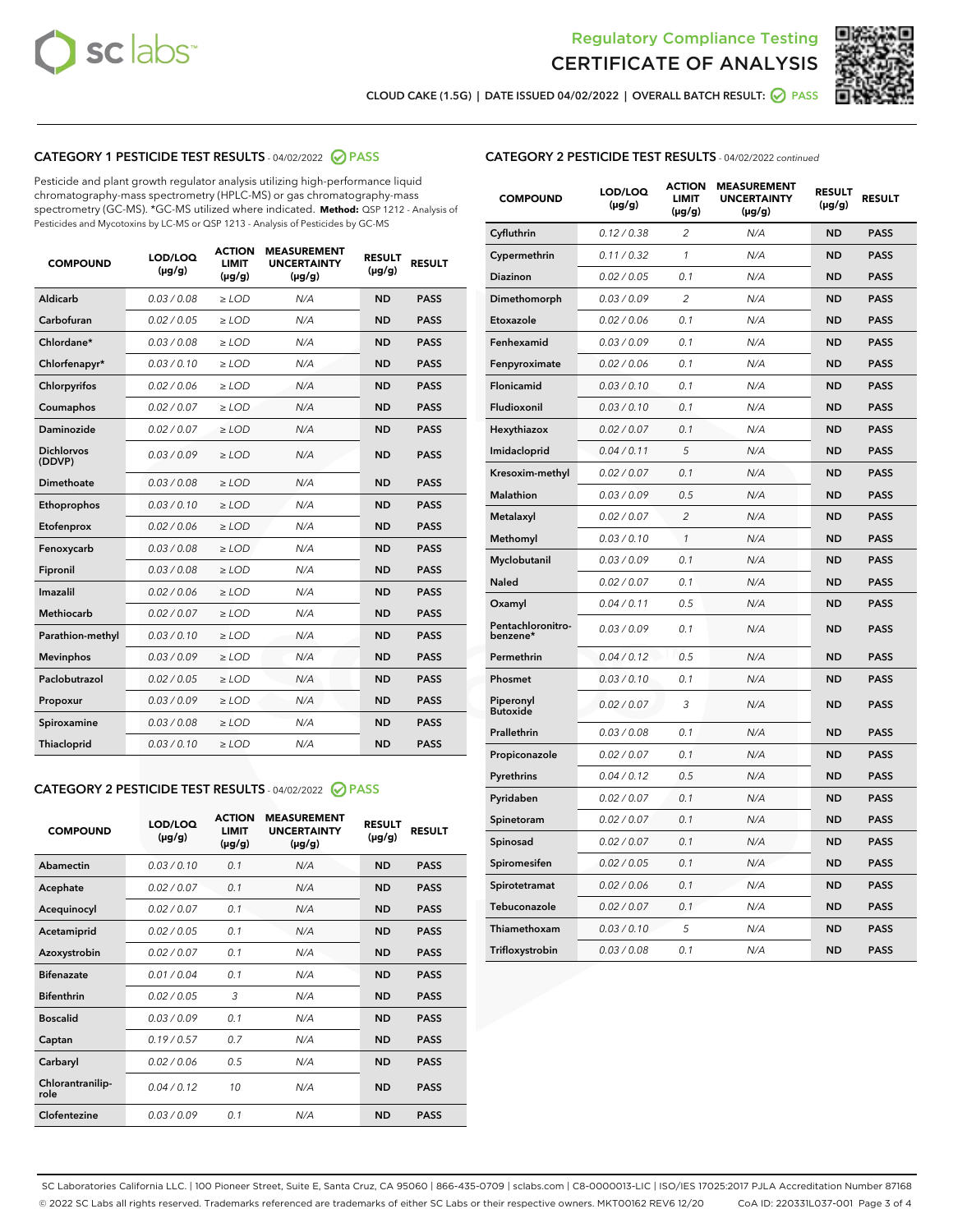



CLOUD CAKE (1.5G) | DATE ISSUED 04/02/2022 | OVERALL BATCH RESULT:  $\bigcirc$  PASS

## CATEGORY 1 PESTICIDE TEST RESULTS - 04/02/2022 2 PASS

Pesticide and plant growth regulator analysis utilizing high-performance liquid chromatography-mass spectrometry (HPLC-MS) or gas chromatography-mass spectrometry (GC-MS). \*GC-MS utilized where indicated. **Method:** QSP 1212 - Analysis of Pesticides and Mycotoxins by LC-MS or QSP 1213 - Analysis of Pesticides by GC-MS

| <b>COMPOUND</b>             | LOD/LOQ<br>$(\mu g/g)$ | <b>ACTION</b><br><b>LIMIT</b><br>$(\mu g/g)$ | <b>MEASUREMENT</b><br><b>UNCERTAINTY</b><br>$(\mu g/g)$ | <b>RESULT</b><br>$(\mu g/g)$ | <b>RESULT</b> |
|-----------------------------|------------------------|----------------------------------------------|---------------------------------------------------------|------------------------------|---------------|
| Aldicarb                    | 0.03 / 0.08            | $\ge$ LOD                                    | N/A                                                     | <b>ND</b>                    | <b>PASS</b>   |
| Carbofuran                  | 0.02 / 0.05            | $\ge$ LOD                                    | N/A                                                     | <b>ND</b>                    | <b>PASS</b>   |
| Chlordane*                  | 0.03 / 0.08            | $\ge$ LOD                                    | N/A                                                     | <b>ND</b>                    | <b>PASS</b>   |
| Chlorfenapyr*               | 0.03/0.10              | $\ge$ LOD                                    | N/A                                                     | <b>ND</b>                    | <b>PASS</b>   |
| Chlorpyrifos                | 0.02/0.06              | $>$ LOD                                      | N/A                                                     | <b>ND</b>                    | <b>PASS</b>   |
| Coumaphos                   | 0.02 / 0.07            | $\ge$ LOD                                    | N/A                                                     | <b>ND</b>                    | <b>PASS</b>   |
| Daminozide                  | 0.02 / 0.07            | $\ge$ LOD                                    | N/A                                                     | <b>ND</b>                    | <b>PASS</b>   |
| <b>Dichlorvos</b><br>(DDVP) | 0.03/0.09              | $\ge$ LOD                                    | N/A                                                     | <b>ND</b>                    | <b>PASS</b>   |
| <b>Dimethoate</b>           | 0.03/0.08              | $\ge$ LOD                                    | N/A                                                     | <b>ND</b>                    | <b>PASS</b>   |
| Ethoprophos                 | 0.03/0.10              | $\ge$ LOD                                    | N/A                                                     | <b>ND</b>                    | <b>PASS</b>   |
| Etofenprox                  | 0.02 / 0.06            | $\ge$ LOD                                    | N/A                                                     | <b>ND</b>                    | <b>PASS</b>   |
| Fenoxycarb                  | 0.03/0.08              | $>$ LOD                                      | N/A                                                     | <b>ND</b>                    | <b>PASS</b>   |
| Fipronil                    | 0.03/0.08              | $>$ LOD                                      | N/A                                                     | <b>ND</b>                    | <b>PASS</b>   |
| Imazalil                    | 0.02 / 0.06            | $\ge$ LOD                                    | N/A                                                     | <b>ND</b>                    | <b>PASS</b>   |
| Methiocarb                  | 0.02 / 0.07            | $\ge$ LOD                                    | N/A                                                     | <b>ND</b>                    | <b>PASS</b>   |
| Parathion-methyl            | 0.03/0.10              | $\ge$ LOD                                    | N/A                                                     | <b>ND</b>                    | <b>PASS</b>   |
| <b>Mevinphos</b>            | 0.03/0.09              | $\ge$ LOD                                    | N/A                                                     | <b>ND</b>                    | <b>PASS</b>   |
| Paclobutrazol               | 0.02 / 0.05            | $\ge$ LOD                                    | N/A                                                     | <b>ND</b>                    | <b>PASS</b>   |
| Propoxur                    | 0.03/0.09              | $>$ LOD                                      | N/A                                                     | <b>ND</b>                    | <b>PASS</b>   |
| Spiroxamine                 | 0.03/0.08              | $>$ LOD                                      | N/A                                                     | <b>ND</b>                    | <b>PASS</b>   |
| Thiacloprid                 | 0.03/0.10              | $\ge$ LOD                                    | N/A                                                     | <b>ND</b>                    | <b>PASS</b>   |

## CATEGORY 2 PESTICIDE TEST RESULTS - 04/02/2022 @ PASS

| <b>COMPOUND</b>          | LOD/LOO<br>$(\mu g/g)$ | <b>ACTION</b><br><b>LIMIT</b><br>(µg/g) | <b>MEASUREMENT</b><br><b>UNCERTAINTY</b><br>$(\mu g/g)$ | <b>RESULT</b><br>$(\mu g/g)$ | <b>RESULT</b> |  |
|--------------------------|------------------------|-----------------------------------------|---------------------------------------------------------|------------------------------|---------------|--|
| Abamectin                | 0.03/0.10              | 0.1                                     | N/A                                                     | <b>ND</b>                    | <b>PASS</b>   |  |
| Acephate                 | 0.02/0.07              | 0.1                                     | N/A                                                     | <b>ND</b>                    | <b>PASS</b>   |  |
| Acequinocyl              | 0.02/0.07              | 0.1                                     | N/A                                                     | <b>ND</b>                    | <b>PASS</b>   |  |
| Acetamiprid              | 0.02/0.05              | 0.1                                     | N/A                                                     | <b>ND</b>                    | <b>PASS</b>   |  |
| Azoxystrobin             | 0.02/0.07              | 0.1                                     | N/A                                                     | <b>ND</b>                    | <b>PASS</b>   |  |
| <b>Bifenazate</b>        | 0.01/0.04              | 0.1                                     | N/A                                                     | <b>ND</b>                    | <b>PASS</b>   |  |
| <b>Bifenthrin</b>        | 0.02/0.05              | 3                                       | N/A                                                     | <b>ND</b>                    | <b>PASS</b>   |  |
| <b>Boscalid</b>          | 0.03/0.09              | 0.1                                     | N/A                                                     | <b>ND</b>                    | <b>PASS</b>   |  |
| Captan                   | 0.19/0.57              | 0.7                                     | N/A                                                     | <b>ND</b>                    | <b>PASS</b>   |  |
| Carbaryl                 | 0.02/0.06              | 0.5                                     | N/A                                                     | <b>ND</b>                    | <b>PASS</b>   |  |
| Chlorantranilip-<br>role | 0.04/0.12              | 10                                      | N/A                                                     | <b>ND</b>                    | <b>PASS</b>   |  |
| Clofentezine             | 0.03/0.09              | 0.1                                     | N/A                                                     | <b>ND</b>                    | <b>PASS</b>   |  |

|  |  |  | <b>CATEGORY 2 PESTICIDE TEST RESULTS</b> - 04/02/2022 continued |
|--|--|--|-----------------------------------------------------------------|
|--|--|--|-----------------------------------------------------------------|

| <b>COMPOUND</b>               | LOD/LOQ<br>(µg/g) | <b>ACTION</b><br>LIMIT<br>$(\mu g/g)$ | <b>MEASUREMENT</b><br><b>UNCERTAINTY</b><br>$(\mu g/g)$ | <b>RESULT</b><br>(µg/g) | <b>RESULT</b> |
|-------------------------------|-------------------|---------------------------------------|---------------------------------------------------------|-------------------------|---------------|
| Cyfluthrin                    | 0.12 / 0.38       | $\overline{c}$                        | N/A                                                     | ND                      | <b>PASS</b>   |
| Cypermethrin                  | 0.11 / 0.32       | 1                                     | N/A                                                     | <b>ND</b>               | <b>PASS</b>   |
| Diazinon                      | 0.02 / 0.05       | 0.1                                   | N/A                                                     | ND                      | <b>PASS</b>   |
| Dimethomorph                  | 0.03 / 0.09       | $\overline{2}$                        | N/A                                                     | <b>ND</b>               | <b>PASS</b>   |
| Etoxazole                     | 0.02 / 0.06       | 0.1                                   | N/A                                                     | <b>ND</b>               | <b>PASS</b>   |
| Fenhexamid                    | 0.03 / 0.09       | 0.1                                   | N/A                                                     | <b>ND</b>               | <b>PASS</b>   |
| Fenpyroximate                 | 0.02 / 0.06       | 0.1                                   | N/A                                                     | <b>ND</b>               | <b>PASS</b>   |
| Flonicamid                    | 0.03/0.10         | 0.1                                   | N/A                                                     | <b>ND</b>               | <b>PASS</b>   |
| Fludioxonil                   | 0.03 / 0.10       | 0.1                                   | N/A                                                     | <b>ND</b>               | <b>PASS</b>   |
| Hexythiazox                   | 0.02 / 0.07       | 0.1                                   | N/A                                                     | <b>ND</b>               | <b>PASS</b>   |
| Imidacloprid                  | 0.04 / 0.11       | 5                                     | N/A                                                     | <b>ND</b>               | <b>PASS</b>   |
| Kresoxim-methyl               | 0.02 / 0.07       | 0.1                                   | N/A                                                     | <b>ND</b>               | <b>PASS</b>   |
| Malathion                     | 0.03 / 0.09       | 0.5                                   | N/A                                                     | <b>ND</b>               | <b>PASS</b>   |
| Metalaxyl                     | 0.02 / 0.07       | $\overline{c}$                        | N/A                                                     | ND                      | <b>PASS</b>   |
| Methomyl                      | 0.03 / 0.10       | 1                                     | N/A                                                     | <b>ND</b>               | <b>PASS</b>   |
| Myclobutanil                  | 0.03 / 0.09       | 0.1                                   | N/A                                                     | <b>ND</b>               | <b>PASS</b>   |
| Naled                         | 0.02 / 0.07       | 0.1                                   | N/A                                                     | ND                      | <b>PASS</b>   |
| Oxamyl                        | 0.04 / 0.11       | 0.5                                   | N/A                                                     | <b>ND</b>               | <b>PASS</b>   |
| Pentachloronitro-<br>benzene* | 0.03 / 0.09       | 0.1                                   | N/A                                                     | ND                      | <b>PASS</b>   |
| Permethrin                    | 0.04 / 0.12       | 0.5                                   | N/A                                                     | <b>ND</b>               | <b>PASS</b>   |
| Phosmet                       | 0.03 / 0.10       | 0.1                                   | N/A                                                     | <b>ND</b>               | <b>PASS</b>   |
| Piperonyl<br><b>Butoxide</b>  | 0.02 / 0.07       | 3                                     | N/A                                                     | <b>ND</b>               | <b>PASS</b>   |
| Prallethrin                   | 0.03 / 0.08       | 0.1                                   | N/A                                                     | <b>ND</b>               | <b>PASS</b>   |
| Propiconazole                 | 0.02 / 0.07       | 0.1                                   | N/A                                                     | <b>ND</b>               | <b>PASS</b>   |
| Pyrethrins                    | 0.04 / 0.12       | 0.5                                   | N/A                                                     | <b>ND</b>               | <b>PASS</b>   |
| Pyridaben                     | 0.02 / 0.07       | 0.1                                   | N/A                                                     | <b>ND</b>               | <b>PASS</b>   |
| Spinetoram                    | 0.02 / 0.07       | 0.1                                   | N/A                                                     | ND                      | <b>PASS</b>   |
| Spinosad                      | 0.02 / 0.07       | 0.1                                   | N/A                                                     | ND                      | <b>PASS</b>   |
| Spiromesifen                  | 0.02 / 0.05       | 0.1                                   | N/A                                                     | ND                      | <b>PASS</b>   |
| Spirotetramat                 | 0.02 / 0.06       | 0.1                                   | N/A                                                     | <b>ND</b>               | <b>PASS</b>   |
| Tebuconazole                  | 0.02 / 0.07       | 0.1                                   | N/A                                                     | <b>ND</b>               | <b>PASS</b>   |
| Thiamethoxam                  | 0.03 / 0.10       | 5                                     | N/A                                                     | ND                      | <b>PASS</b>   |
| Trifloxystrobin               | 0.03 / 0.08       | 0.1                                   | N/A                                                     | ND                      | <b>PASS</b>   |

SC Laboratories California LLC. | 100 Pioneer Street, Suite E, Santa Cruz, CA 95060 | 866-435-0709 | sclabs.com | C8-0000013-LIC | ISO/IES 17025:2017 PJLA Accreditation Number 87168 © 2022 SC Labs all rights reserved. Trademarks referenced are trademarks of either SC Labs or their respective owners. MKT00162 REV6 12/20 CoA ID: 220331L037-001 Page 3 of 4